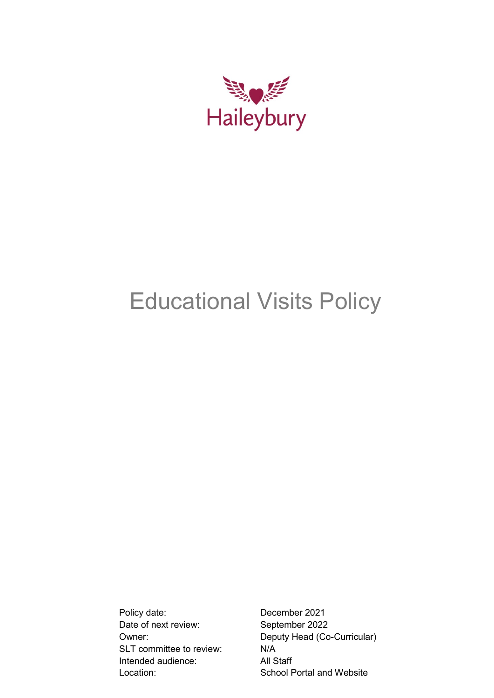

# Educational Visits Policy

Policy date: December 2021 Date of next review: September 2022 SLT committee to review: N/A Intended audience: All Staff Location: School Portal and Website

Owner: Deputy Head (Co-Curricular)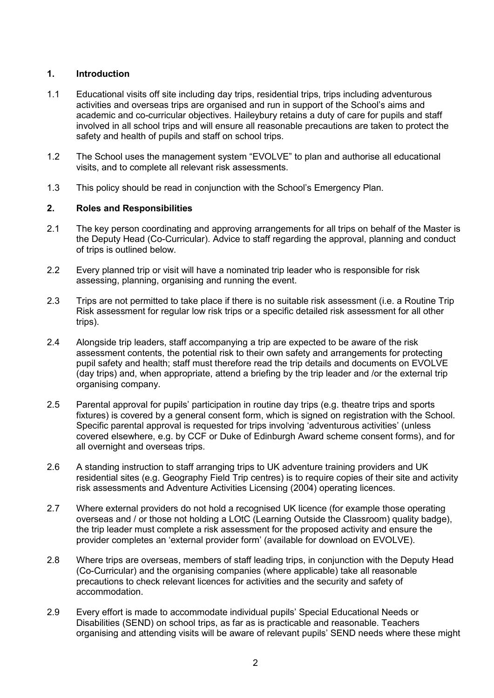# **1. Introduction**

- 1.1 Educational visits off site including day trips, residential trips, trips including adventurous activities and overseas trips are organised and run in support of the School's aims and academic and co-curricular objectives. Haileybury retains a duty of care for pupils and staff involved in all school trips and will ensure all reasonable precautions are taken to protect the safety and health of pupils and staff on school trips.
- 1.2 The School uses the management system "EVOLVE" to plan and authorise all educational visits, and to complete all relevant risk assessments.
- 1.3 This policy should be read in conjunction with the School's Emergency Plan.

#### **2. Roles and Responsibilities**

- 2.1 The key person coordinating and approving arrangements for all trips on behalf of the Master is the Deputy Head (Co-Curricular). Advice to staff regarding the approval, planning and conduct of trips is outlined below.
- 2.2 Every planned trip or visit will have a nominated trip leader who is responsible for risk assessing, planning, organising and running the event.
- 2.3 Trips are not permitted to take place if there is no suitable risk assessment (i.e. a Routine Trip Risk assessment for regular low risk trips or a specific detailed risk assessment for all other trips).
- 2.4 Alongside trip leaders, staff accompanying a trip are expected to be aware of the risk assessment contents, the potential risk to their own safety and arrangements for protecting pupil safety and health; staff must therefore read the trip details and documents on EVOLVE (day trips) and, when appropriate, attend a briefing by the trip leader and /or the external trip organising company.
- 2.5 Parental approval for pupils' participation in routine day trips (e.g. theatre trips and sports fixtures) is covered by a general consent form, which is signed on registration with the School. Specific parental approval is requested for trips involving 'adventurous activities' (unless covered elsewhere, e.g. by CCF or Duke of Edinburgh Award scheme consent forms), and for all overnight and overseas trips.
- 2.6 A standing instruction to staff arranging trips to UK adventure training providers and UK residential sites (e.g. Geography Field Trip centres) is to require copies of their site and activity risk assessments and Adventure Activities Licensing (2004) operating licences.
- 2.7 Where external providers do not hold a recognised UK licence (for example those operating overseas and / or those not holding a LOtC (Learning Outside the Classroom) quality badge), the trip leader must complete a risk assessment for the proposed activity and ensure the provider completes an 'external provider form' (available for download on EVOLVE).
- 2.8 Where trips are overseas, members of staff leading trips, in conjunction with the Deputy Head (Co-Curricular) and the organising companies (where applicable) take all reasonable precautions to check relevant licences for activities and the security and safety of accommodation.
- 2.9 Every effort is made to accommodate individual pupils' Special Educational Needs or Disabilities (SEND) on school trips, as far as is practicable and reasonable. Teachers organising and attending visits will be aware of relevant pupils' SEND needs where these might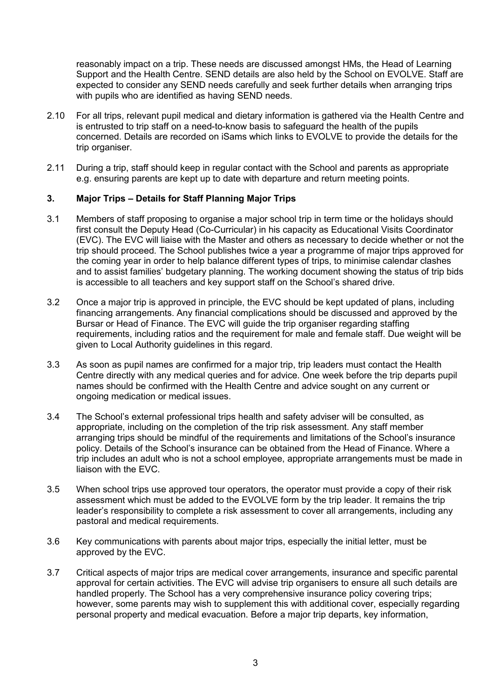reasonably impact on a trip. These needs are discussed amongst HMs, the Head of Learning Support and the Health Centre. SEND details are also held by the School on EVOLVE. Staff are expected to consider any SEND needs carefully and seek further details when arranging trips with pupils who are identified as having SEND needs.

- 2.10 For all trips, relevant pupil medical and dietary information is gathered via the Health Centre and is entrusted to trip staff on a need-to-know basis to safeguard the health of the pupils concerned. Details are recorded on iSams which links to EVOLVE to provide the details for the trip organiser.
- 2.11 During a trip, staff should keep in regular contact with the School and parents as appropriate e.g. ensuring parents are kept up to date with departure and return meeting points.

#### **3. Major Trips – Details for Staff Planning Major Trips**

- 3.1 Members of staff proposing to organise a major school trip in term time or the holidays should first consult the Deputy Head (Co-Curricular) in his capacity as Educational Visits Coordinator (EVC). The EVC will liaise with the Master and others as necessary to decide whether or not the trip should proceed. The School publishes twice a year a programme of major trips approved for the coming year in order to help balance different types of trips, to minimise calendar clashes and to assist families' budgetary planning. The working document showing the status of trip bids is accessible to all teachers and key support staff on the School's shared drive.
- 3.2 Once a major trip is approved in principle, the EVC should be kept updated of plans, including financing arrangements. Any financial complications should be discussed and approved by the Bursar or Head of Finance. The EVC will guide the trip organiser regarding staffing requirements, including ratios and the requirement for male and female staff. Due weight will be given to Local Authority guidelines in this regard.
- 3.3 As soon as pupil names are confirmed for a major trip, trip leaders must contact the Health Centre directly with any medical queries and for advice. One week before the trip departs pupil names should be confirmed with the Health Centre and advice sought on any current or ongoing medication or medical issues.
- 3.4 The School's external professional trips health and safety adviser will be consulted, as appropriate, including on the completion of the trip risk assessment. Any staff member arranging trips should be mindful of the requirements and limitations of the School's insurance policy. Details of the School's insurance can be obtained from the Head of Finance. Where a trip includes an adult who is not a school employee, appropriate arrangements must be made in liaison with the EVC.
- 3.5 When school trips use approved tour operators, the operator must provide a copy of their risk assessment which must be added to the EVOLVE form by the trip leader. It remains the trip leader's responsibility to complete a risk assessment to cover all arrangements, including any pastoral and medical requirements.
- 3.6 Key communications with parents about major trips, especially the initial letter, must be approved by the EVC.
- 3.7 Critical aspects of major trips are medical cover arrangements, insurance and specific parental approval for certain activities. The EVC will advise trip organisers to ensure all such details are handled properly. The School has a very comprehensive insurance policy covering trips; however, some parents may wish to supplement this with additional cover, especially regarding personal property and medical evacuation. Before a major trip departs, key information,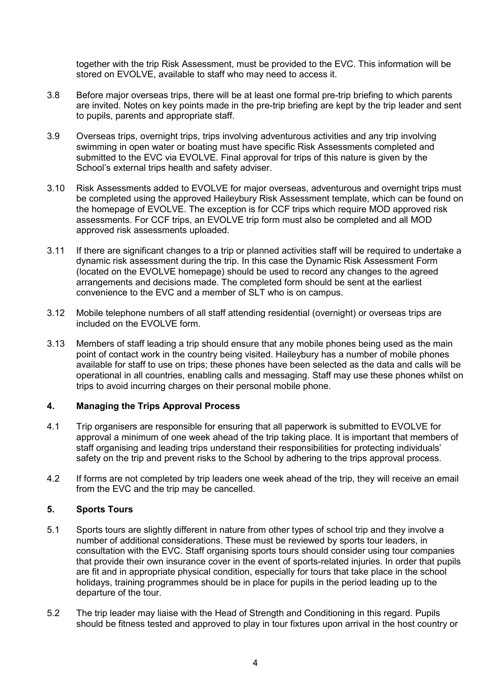together with the trip Risk Assessment, must be provided to the EVC. This information will be stored on EVOLVE, available to staff who may need to access it.

- 3.8 Before major overseas trips, there will be at least one formal pre-trip briefing to which parents are invited. Notes on key points made in the pre-trip briefing are kept by the trip leader and sent to pupils, parents and appropriate staff.
- 3.9 Overseas trips, overnight trips, trips involving adventurous activities and any trip involving swimming in open water or boating must have specific Risk Assessments completed and submitted to the EVC via EVOLVE. Final approval for trips of this nature is given by the School's external trips health and safety adviser.
- 3.10 Risk Assessments added to EVOLVE for major overseas, adventurous and overnight trips must be completed using the approved Haileybury Risk Assessment template, which can be found on the homepage of EVOLVE. The exception is for CCF trips which require MOD approved risk assessments. For CCF trips, an EVOLVE trip form must also be completed and all MOD approved risk assessments uploaded.
- 3.11 If there are significant changes to a trip or planned activities staff will be required to undertake a dynamic risk assessment during the trip. In this case the Dynamic Risk Assessment Form (located on the EVOLVE homepage) should be used to record any changes to the agreed arrangements and decisions made. The completed form should be sent at the earliest convenience to the EVC and a member of SLT who is on campus.
- 3.12 Mobile telephone numbers of all staff attending residential (overnight) or overseas trips are included on the EVOLVE form.
- 3.13 Members of staff leading a trip should ensure that any mobile phones being used as the main point of contact work in the country being visited. Haileybury has a number of mobile phones available for staff to use on trips; these phones have been selected as the data and calls will be operational in all countries, enabling calls and messaging. Staff may use these phones whilst on trips to avoid incurring charges on their personal mobile phone.

#### **4. Managing the Trips Approval Process**

- 4.1 Trip organisers are responsible for ensuring that all paperwork is submitted to EVOLVE for approval a minimum of one week ahead of the trip taking place. It is important that members of staff organising and leading trips understand their responsibilities for protecting individuals' safety on the trip and prevent risks to the School by adhering to the trips approval process.
- 4.2 If forms are not completed by trip leaders one week ahead of the trip, they will receive an email from the EVC and the trip may be cancelled.

#### **5. Sports Tours**

- 5.1 Sports tours are slightly different in nature from other types of school trip and they involve a number of additional considerations. These must be reviewed by sports tour leaders, in consultation with the EVC. Staff organising sports tours should consider using tour companies that provide their own insurance cover in the event of sports-related injuries. In order that pupils are fit and in appropriate physical condition, especially for tours that take place in the school holidays, training programmes should be in place for pupils in the period leading up to the departure of the tour.
- 5.2 The trip leader may liaise with the Head of Strength and Conditioning in this regard. Pupils should be fitness tested and approved to play in tour fixtures upon arrival in the host country or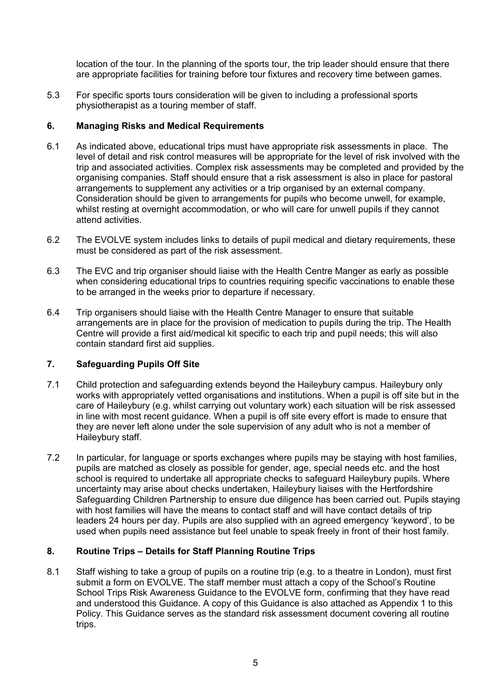location of the tour. In the planning of the sports tour, the trip leader should ensure that there are appropriate facilities for training before tour fixtures and recovery time between games.

5.3 For specific sports tours consideration will be given to including a professional sports physiotherapist as a touring member of staff.

#### **6. Managing Risks and Medical Requirements**

- 6.1 As indicated above, educational trips must have appropriate risk assessments in place. The level of detail and risk control measures will be appropriate for the level of risk involved with the trip and associated activities. Complex risk assessments may be completed and provided by the organising companies. Staff should ensure that a risk assessment is also in place for pastoral arrangements to supplement any activities or a trip organised by an external company. Consideration should be given to arrangements for pupils who become unwell, for example, whilst resting at overnight accommodation, or who will care for unwell pupils if they cannot attend activities.
- 6.2 The EVOLVE system includes links to details of pupil medical and dietary requirements, these must be considered as part of the risk assessment.
- 6.3 The EVC and trip organiser should liaise with the Health Centre Manger as early as possible when considering educational trips to countries requiring specific vaccinations to enable these to be arranged in the weeks prior to departure if necessary.
- 6.4 Trip organisers should liaise with the Health Centre Manager to ensure that suitable arrangements are in place for the provision of medication to pupils during the trip. The Health Centre will provide a first aid/medical kit specific to each trip and pupil needs; this will also contain standard first aid supplies.

#### **7. Safeguarding Pupils Off Site**

- 7.1 Child protection and safeguarding extends beyond the Haileybury campus. Haileybury only works with appropriately vetted organisations and institutions. When a pupil is off site but in the care of Haileybury (e.g. whilst carrying out voluntary work) each situation will be risk assessed in line with most recent guidance. When a pupil is off site every effort is made to ensure that they are never left alone under the sole supervision of any adult who is not a member of Haileybury staff.
- 7.2 In particular, for language or sports exchanges where pupils may be staying with host families, pupils are matched as closely as possible for gender, age, special needs etc. and the host school is required to undertake all appropriate checks to safeguard Haileybury pupils. Where uncertainty may arise about checks undertaken, Haileybury liaises with the Hertfordshire Safeguarding Children Partnership to ensure due diligence has been carried out. Pupils staying with host families will have the means to contact staff and will have contact details of trip leaders 24 hours per day. Pupils are also supplied with an agreed emergency 'keyword', to be used when pupils need assistance but feel unable to speak freely in front of their host family.

# **8. Routine Trips – Details for Staff Planning Routine Trips**

8.1 Staff wishing to take a group of pupils on a routine trip (e.g. to a theatre in London), must first submit a form on EVOLVE. The staff member must attach a copy of the School's Routine School Trips Risk Awareness Guidance to the EVOLVE form, confirming that they have read and understood this Guidance. A copy of this Guidance is also attached as Appendix 1 to this Policy. This Guidance serves as the standard risk assessment document covering all routine trips.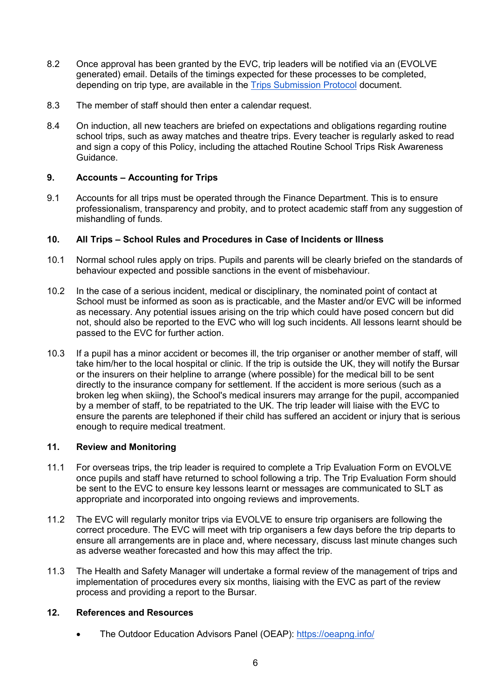- 8.2 Once approval has been granted by the EVC, trip leaders will be notified via an (EVOLVE generated) email. Details of the timings expected for these processes to be completed, depending on trip type, are available in the [Trips Submission Protocol](https://www.google.com/url?q=https://docs.google.com/document/d/1YfI99ZSwr8KEDgFgwcIRpxP9s-dMCZWJ30SI9IN8fsg/edit?usp%3Dsharing&sa=D&source=docs&ust=1638802599695000&usg=AOvVaw1PDRWHNdTTYlegMmkf6ojH) document.
- 8.3 The member of staff should then enter a calendar request.
- 8.4 On induction, all new teachers are briefed on expectations and obligations regarding routine school trips, such as away matches and theatre trips. Every teacher is regularly asked to read and sign a copy of this Policy, including the attached Routine School Trips Risk Awareness Guidance.

# **9. Accounts – Accounting for Trips**

9.1 Accounts for all trips must be operated through the Finance Department. This is to ensure professionalism, transparency and probity, and to protect academic staff from any suggestion of mishandling of funds.

# **10. All Trips – School Rules and Procedures in Case of Incidents or Illness**

- 10.1 Normal school rules apply on trips. Pupils and parents will be clearly briefed on the standards of behaviour expected and possible sanctions in the event of misbehaviour.
- 10.2 In the case of a serious incident, medical or disciplinary, the nominated point of contact at School must be informed as soon as is practicable, and the Master and/or EVC will be informed as necessary. Any potential issues arising on the trip which could have posed concern but did not, should also be reported to the EVC who will log such incidents. All lessons learnt should be passed to the EVC for further action.
- 10.3 If a pupil has a minor accident or becomes ill, the trip organiser or another member of staff, will take him/her to the local hospital or clinic. If the trip is outside the UK, they will notify the Bursar or the insurers on their helpline to arrange (where possible) for the medical bill to be sent directly to the insurance company for settlement. If the accident is more serious (such as a broken leg when skiing), the School's medical insurers may arrange for the pupil, accompanied by a member of staff, to be repatriated to the UK. The trip leader will liaise with the EVC to ensure the parents are telephoned if their child has suffered an accident or injury that is serious enough to require medical treatment.

#### **11. Review and Monitoring**

- 11.1 For overseas trips, the trip leader is required to complete a Trip Evaluation Form on EVOLVE once pupils and staff have returned to school following a trip. The Trip Evaluation Form should be sent to the EVC to ensure key lessons learnt or messages are communicated to SLT as appropriate and incorporated into ongoing reviews and improvements.
- 11.2 The EVC will regularly monitor trips via EVOLVE to ensure trip organisers are following the correct procedure. The EVC will meet with trip organisers a few days before the trip departs to ensure all arrangements are in place and, where necessary, discuss last minute changes such as adverse weather forecasted and how this may affect the trip.
- 11.3 The Health and Safety Manager will undertake a formal review of the management of trips and implementation of procedures every six months, liaising with the EVC as part of the review process and providing a report to the Bursar.

# **12. References and Resources**

• The Outdoor Education Advisors Panel (OEAP):<https://oeapng.info/>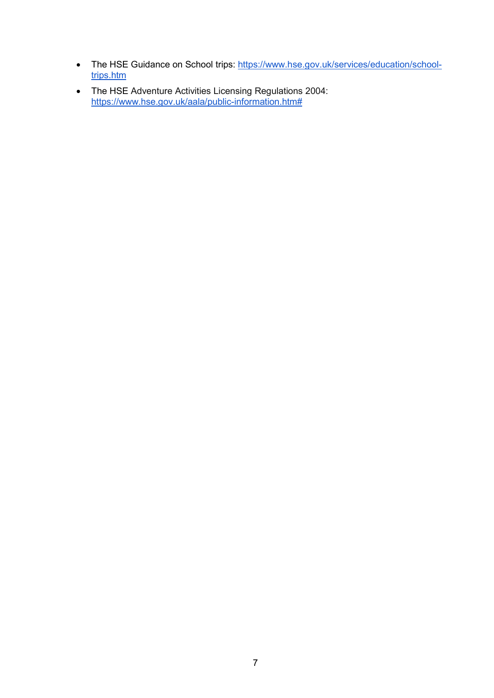- The HSE Guidance on School trips: [https://www.hse.gov.uk/services/education/school](https://www.hse.gov.uk/services/education/school-trips.htm)[trips.htm](https://www.hse.gov.uk/services/education/school-trips.htm)
- The HSE Adventure Activities Licensing Regulations 2004: [https://www.hse.gov.uk/aala/public-information.htm#](https://www.hse.gov.uk/aala/public-information.htm)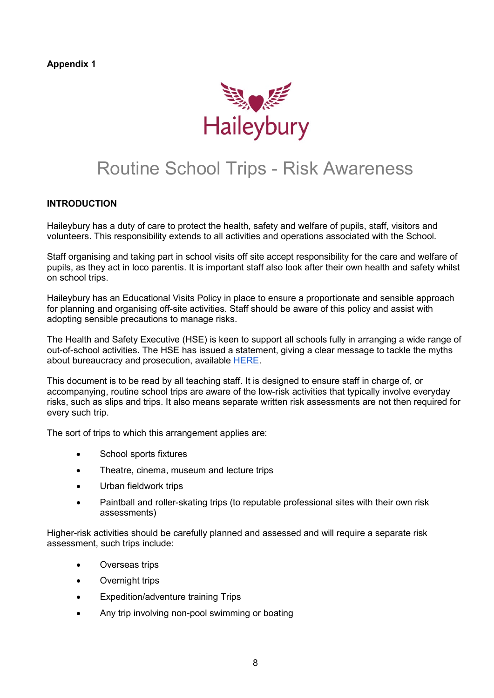**Appendix 1**



# Routine School Trips - Risk Awareness

# **INTRODUCTION**

Haileybury has a duty of care to protect the health, safety and welfare of pupils, staff, visitors and volunteers. This responsibility extends to all activities and operations associated with the School.

Staff organising and taking part in school visits off site accept responsibility for the care and welfare of pupils, as they act in loco parentis. It is important staff also look after their own health and safety whilst on school trips.

Haileybury has an Educational Visits Policy in place to ensure a proportionate and sensible approach for planning and organising off-site activities. Staff should be aware of this policy and assist with adopting sensible precautions to manage risks.

The Health and Safety Executive (HSE) is keen to support all schools fully in arranging a wide range of out-of-school activities. The HSE has issued a statement, giving a clear message to tackle the myths about bureaucracy and prosecution, available [HERE.](https://www.hse.gov.uk/services/education/school-trips.pdf)

This document is to be read by all teaching staff. It is designed to ensure staff in charge of, or accompanying, routine school trips are aware of the low-risk activities that typically involve everyday risks, such as slips and trips. It also means separate written risk assessments are not then required for every such trip.

The sort of trips to which this arrangement applies are:

- School sports fixtures
- Theatre, cinema, museum and lecture trips
- Urban fieldwork trips
- Paintball and roller-skating trips (to reputable professional sites with their own risk assessments)

Higher-risk activities should be carefully planned and assessed and will require a separate risk assessment, such trips include:

- Overseas trips
- Overnight trips
- Expedition/adventure training Trips
- Any trip involving non-pool swimming or boating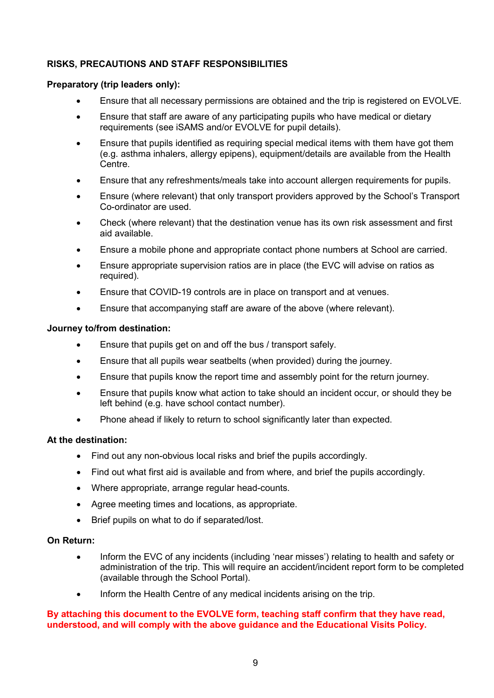# **RISKS, PRECAUTIONS AND STAFF RESPONSIBILITIES**

#### **Preparatory (trip leaders only):**

- Ensure that all necessary permissions are obtained and the trip is registered on EVOLVE.
- Ensure that staff are aware of any participating pupils who have medical or dietary requirements (see iSAMS and/or EVOLVE for pupil details).
- Ensure that pupils identified as requiring special medical items with them have got them (e.g. asthma inhalers, allergy epipens), equipment/details are available from the Health Centre.
- Ensure that any refreshments/meals take into account allergen requirements for pupils.
- Ensure (where relevant) that only transport providers approved by the School's Transport Co-ordinator are used.
- Check (where relevant) that the destination venue has its own risk assessment and first aid available.
- Ensure a mobile phone and appropriate contact phone numbers at School are carried.
- Ensure appropriate supervision ratios are in place (the EVC will advise on ratios as required).
- Ensure that COVID-19 controls are in place on transport and at venues.
- Ensure that accompanying staff are aware of the above (where relevant).

#### **Journey to/from destination:**

- Ensure that pupils get on and off the bus / transport safely.
- Ensure that all pupils wear seatbelts (when provided) during the journey.
- Ensure that pupils know the report time and assembly point for the return journey.
- Ensure that pupils know what action to take should an incident occur, or should they be left behind (e.g. have school contact number).
- Phone ahead if likely to return to school significantly later than expected.

# **At the destination:**

- Find out any non-obvious local risks and brief the pupils accordingly.
- Find out what first aid is available and from where, and brief the pupils accordingly.
- Where appropriate, arrange regular head-counts.
- Agree meeting times and locations, as appropriate.
- Brief pupils on what to do if separated/lost.

#### **On Return:**

- Inform the EVC of any incidents (including 'near misses') relating to health and safety or administration of the trip. This will require an accident/incident report form to be completed (available through the School Portal).
- Inform the Health Centre of any medical incidents arising on the trip.

# **By attaching this document to the EVOLVE form, teaching staff confirm that they have read, understood, and will comply with the above guidance and the Educational Visits Policy.**